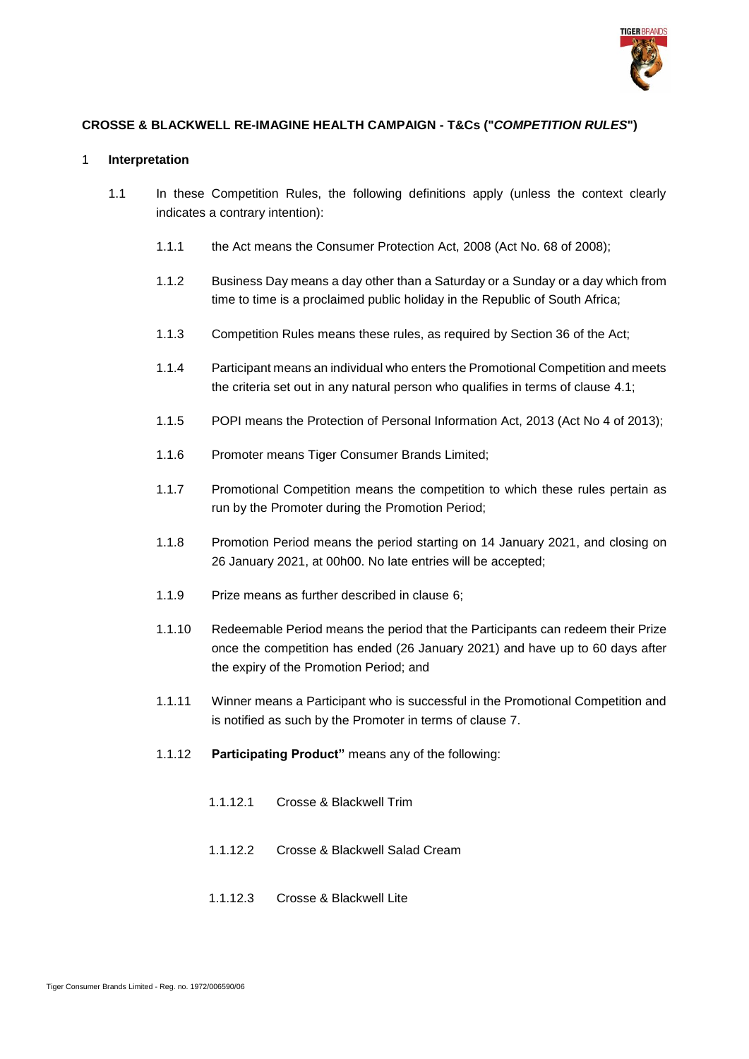

# **CROSSE & BLACKWELL RE-IMAGINE HEALTH CAMPAIGN - T&Cs ("***COMPETITION RULES***")**

#### 1 **Interpretation**

- 1.1 In these Competition Rules, the following definitions apply (unless the context clearly indicates a contrary intention):
	- 1.1.1 the Act means the Consumer Protection Act, 2008 (Act No. 68 of 2008);
	- 1.1.2 Business Day means a day other than a Saturday or a Sunday or a day which from time to time is a proclaimed public holiday in the Republic of South Africa;
	- 1.1.3 Competition Rules means these rules, as required by Section 36 of the Act;
	- 1.1.4 Participant means an individual who enters the Promotional Competition and meets the criteria set out in any natural person who qualifies in terms of clause [4.1;](#page-1-0)
	- 1.1.5 POPI means the Protection of Personal Information Act, 2013 (Act No 4 of 2013);
	- 1.1.6 Promoter means Tiger Consumer Brands Limited;
	- 1.1.7 Promotional Competition means the competition to which these rules pertain as run by the Promoter during the Promotion Period;
	- 1.1.8 Promotion Period means the period starting on 14 January 2021, and closing on 26 January 2021, at 00h00. No late entries will be accepted;
	- 1.1.9 Prize means as further described in clause [6;](#page-2-0)
	- 1.1.10 Redeemable Period means the period that the Participants can redeem their Prize once the competition has ended (26 January 2021) and have up to 60 days after the expiry of the Promotion Period; and
	- 1.1.11 Winner means a Participant who is successful in the Promotional Competition and is notified as such by the Promoter in terms of clause [7.](#page-2-1)
	- 1.1.12 **Participating Product"** means any of the following:
		- 1.1.12.1 Crosse & Blackwell Trim
		- 1.1.12.2 Crosse & Blackwell Salad Cream
		- 1.1.12.3 Crosse & Blackwell Lite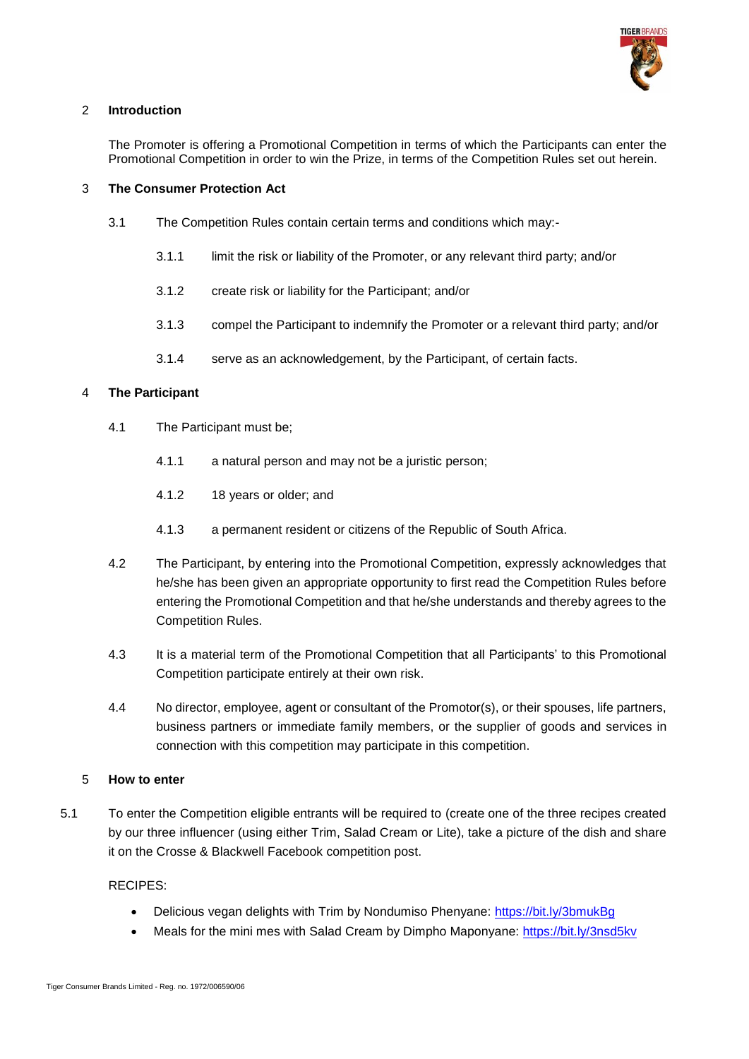

### 2 **Introduction**

The Promoter is offering a Promotional Competition in terms of which the Participants can enter the Promotional Competition in order to win the Prize, in terms of the Competition Rules set out herein.

### 3 **The Consumer Protection Act**

- 3.1 The Competition Rules contain certain terms and conditions which may:-
	- 3.1.1 limit the risk or liability of the Promoter, or any relevant third party; and/or
	- 3.1.2 create risk or liability for the Participant; and/or
	- 3.1.3 compel the Participant to indemnify the Promoter or a relevant third party; and/or
	- 3.1.4 serve as an acknowledgement, by the Participant, of certain facts.

# <span id="page-1-0"></span>4 **The Participant**

- 4.1 The Participant must be;
	- 4.1.1 a natural person and may not be a juristic person;
	- 4.1.2 18 years or older; and
	- 4.1.3 a permanent resident or citizens of the Republic of South Africa.
- 4.2 The Participant, by entering into the Promotional Competition, expressly acknowledges that he/she has been given an appropriate opportunity to first read the Competition Rules before entering the Promotional Competition and that he/she understands and thereby agrees to the Competition Rules.
- 4.3 It is a material term of the Promotional Competition that all Participants' to this Promotional Competition participate entirely at their own risk.
- 4.4 No director, employee, agent or consultant of the Promotor(s), or their spouses, life partners, business partners or immediate family members, or the supplier of goods and services in connection with this competition may participate in this competition.

### 5 **How to enter**

5.1 To enter the Competition eligible entrants will be required to (create one of the three recipes created by our three influencer (using either Trim, Salad Cream or Lite), take a picture of the dish and share it on the Crosse & Blackwell Facebook competition post.

### RECIPES:

- Delicious vegan delights with Trim by Nondumiso Phenyane:<https://bit.ly/3bmukBg>
- Meals for the mini mes with Salad Cream by Dimpho Maponyane:<https://bit.ly/3nsd5kv>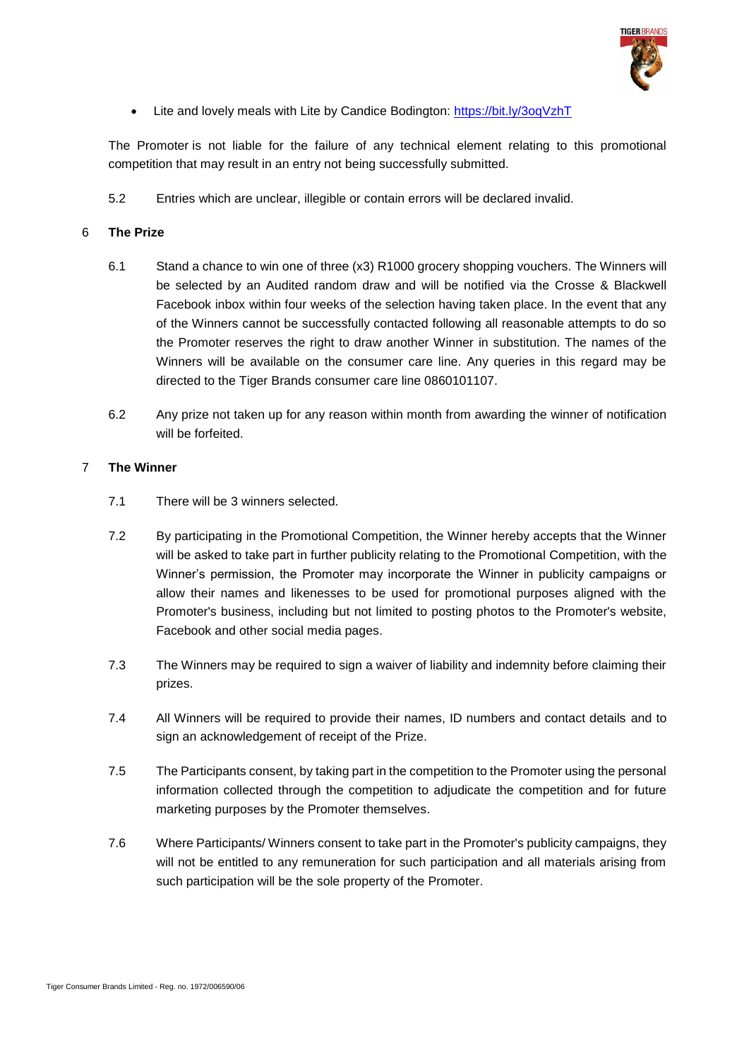

• Lite and lovely meals with Lite by Candice Bodington:<https://bit.ly/3oqVzhT>

The Promoter is not liable for the failure of any technical element relating to this promotional competition that may result in an entry not being successfully submitted.

5.2 Entries which are unclear, illegible or contain errors will be declared invalid.

# <span id="page-2-0"></span>6 **The Prize**

- 6.1 Stand a chance to win one of three (x3) R1000 grocery shopping vouchers. The Winners will be selected by an Audited random draw and will be notified via the Crosse & Blackwell Facebook inbox within four weeks of the selection having taken place. In the event that any of the Winners cannot be successfully contacted following all reasonable attempts to do so the Promoter reserves the right to draw another Winner in substitution. The names of the Winners will be available on the consumer care line. Any queries in this regard may be directed to the Tiger Brands consumer care line 0860101107.
- 6.2 Any prize not taken up for any reason within month from awarding the winner of notification will be forfeited.

### <span id="page-2-1"></span>7 **The Winner**

- 7.1 There will be 3 winners selected.
- 7.2 By participating in the Promotional Competition, the Winner hereby accepts that the Winner will be asked to take part in further publicity relating to the Promotional Competition, with the Winner's permission, the Promoter may incorporate the Winner in publicity campaigns or allow their names and likenesses to be used for promotional purposes aligned with the Promoter's business, including but not limited to posting photos to the Promoter's website, Facebook and other social media pages.
- 7.3 The Winners may be required to sign a waiver of liability and indemnity before claiming their prizes.
- 7.4 All Winners will be required to provide their names, ID numbers and contact details and to sign an acknowledgement of receipt of the Prize.
- 7.5 The Participants consent, by taking part in the competition to the Promoter using the personal information collected through the competition to adjudicate the competition and for future marketing purposes by the Promoter themselves.
- 7.6 Where Participants/ Winners consent to take part in the Promoter's publicity campaigns, they will not be entitled to any remuneration for such participation and all materials arising from such participation will be the sole property of the Promoter.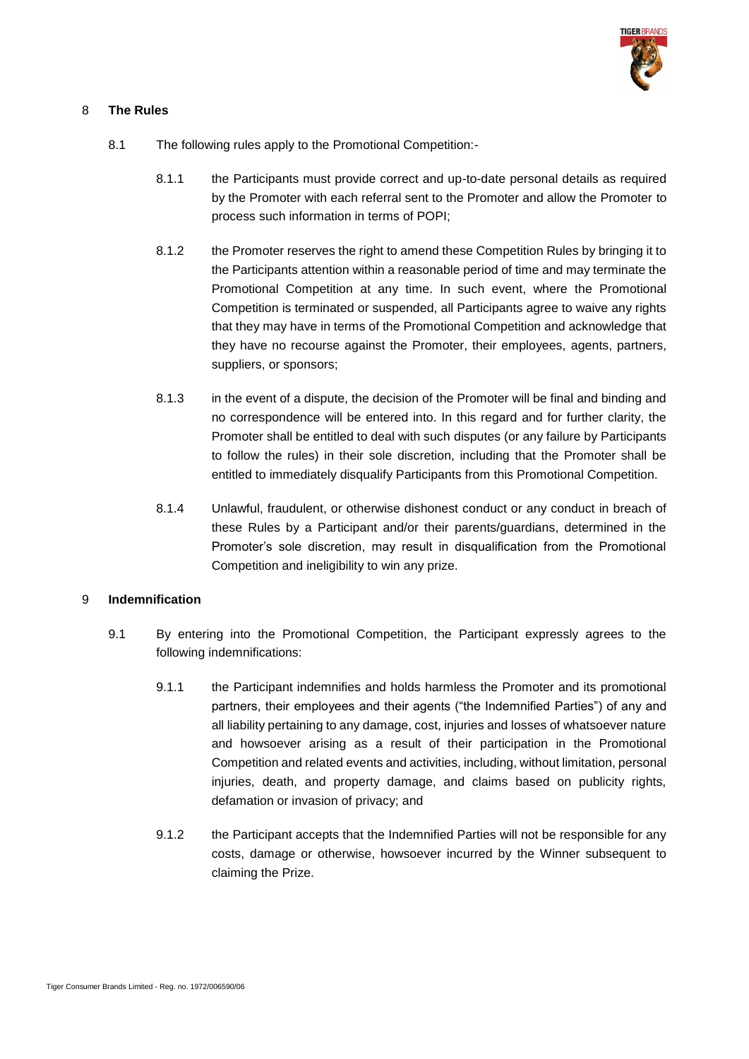

### 8 **The Rules**

- 8.1 The following rules apply to the Promotional Competition:-
	- 8.1.1 the Participants must provide correct and up-to-date personal details as required by the Promoter with each referral sent to the Promoter and allow the Promoter to process such information in terms of POPI;
	- 8.1.2 the Promoter reserves the right to amend these Competition Rules by bringing it to the Participants attention within a reasonable period of time and may terminate the Promotional Competition at any time. In such event, where the Promotional Competition is terminated or suspended, all Participants agree to waive any rights that they may have in terms of the Promotional Competition and acknowledge that they have no recourse against the Promoter, their employees, agents, partners, suppliers, or sponsors;
	- 8.1.3 in the event of a dispute, the decision of the Promoter will be final and binding and no correspondence will be entered into. In this regard and for further clarity, the Promoter shall be entitled to deal with such disputes (or any failure by Participants to follow the rules) in their sole discretion, including that the Promoter shall be entitled to immediately disqualify Participants from this Promotional Competition.
	- 8.1.4 Unlawful, fraudulent, or otherwise dishonest conduct or any conduct in breach of these Rules by a Participant and/or their parents/guardians, determined in the Promoter's sole discretion, may result in disqualification from the Promotional Competition and ineligibility to win any prize.

# 9 **Indemnification**

- 9.1 By entering into the Promotional Competition, the Participant expressly agrees to the following indemnifications:
	- 9.1.1 the Participant indemnifies and holds harmless the Promoter and its promotional partners, their employees and their agents ("the Indemnified Parties") of any and all liability pertaining to any damage, cost, injuries and losses of whatsoever nature and howsoever arising as a result of their participation in the Promotional Competition and related events and activities, including, without limitation, personal injuries, death, and property damage, and claims based on publicity rights, defamation or invasion of privacy; and
	- 9.1.2 the Participant accepts that the Indemnified Parties will not be responsible for any costs, damage or otherwise, howsoever incurred by the Winner subsequent to claiming the Prize.